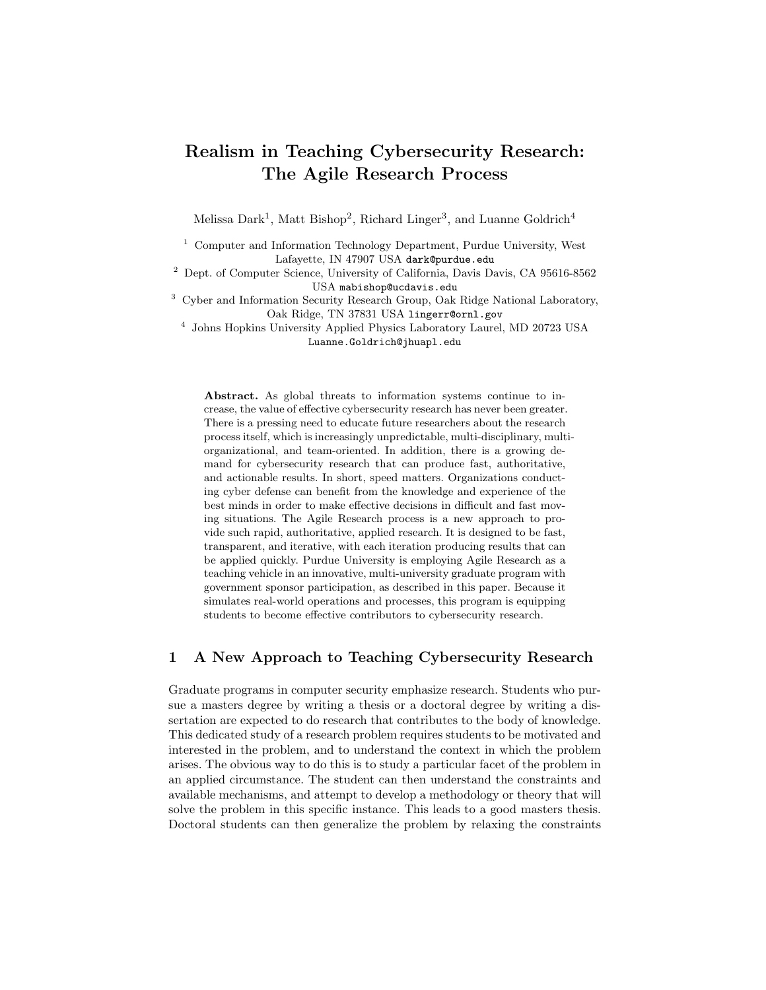# Realism in Teaching Cybersecurity Research: The Agile Research Process

Melissa Dark<sup>1</sup>, Matt Bishop<sup>2</sup>, Richard Linger<sup>3</sup>, and Luanne Goldrich<sup>4</sup>

<sup>1</sup> Computer and Information Technology Department, Purdue University, West Lafayette, IN 47907 USA dark@purdue.edu

<sup>2</sup> Dept. of Computer Science, University of California, Davis Davis, CA 95616-8562 USA mabishop@ucdavis.edu

<sup>3</sup> Cyber and Information Security Research Group, Oak Ridge National Laboratory, Oak Ridge, TN 37831 USA lingerr@ornl.gov

4 Johns Hopkins University Applied Physics Laboratory Laurel, MD 20723 USA Luanne.Goldrich@jhuapl.edu

Abstract. As global threats to information systems continue to increase, the value of effective cybersecurity research has never been greater. There is a pressing need to educate future researchers about the research process itself, which is increasingly unpredictable, multi-disciplinary, multiorganizational, and team-oriented. In addition, there is a growing demand for cybersecurity research that can produce fast, authoritative, and actionable results. In short, speed matters. Organizations conducting cyber defense can benefit from the knowledge and experience of the best minds in order to make effective decisions in difficult and fast moving situations. The Agile Research process is a new approach to provide such rapid, authoritative, applied research. It is designed to be fast, transparent, and iterative, with each iteration producing results that can be applied quickly. Purdue University is employing Agile Research as a teaching vehicle in an innovative, multi-university graduate program with government sponsor participation, as described in this paper. Because it simulates real-world operations and processes, this program is equipping students to become effective contributors to cybersecurity research.

## 1 A New Approach to Teaching Cybersecurity Research

Graduate programs in computer security emphasize research. Students who pursue a masters degree by writing a thesis or a doctoral degree by writing a dissertation are expected to do research that contributes to the body of knowledge. This dedicated study of a research problem requires students to be motivated and interested in the problem, and to understand the context in which the problem arises. The obvious way to do this is to study a particular facet of the problem in an applied circumstance. The student can then understand the constraints and available mechanisms, and attempt to develop a methodology or theory that will solve the problem in this specific instance. This leads to a good masters thesis. Doctoral students can then generalize the problem by relaxing the constraints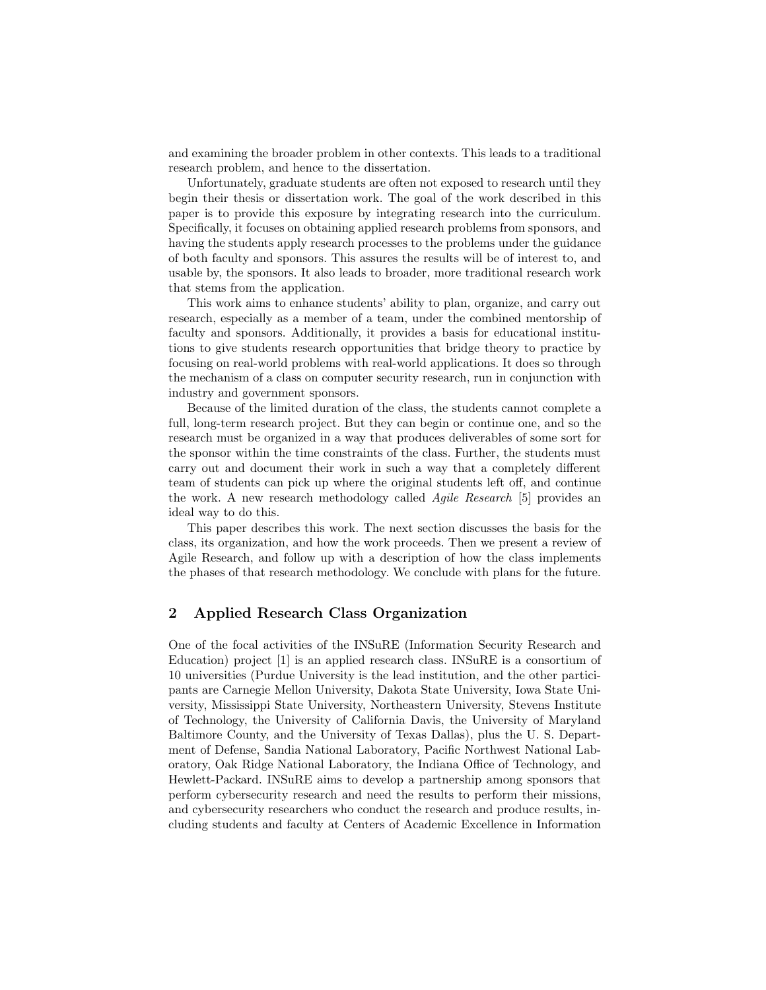and examining the broader problem in other contexts. This leads to a traditional research problem, and hence to the dissertation.

Unfortunately, graduate students are often not exposed to research until they begin their thesis or dissertation work. The goal of the work described in this paper is to provide this exposure by integrating research into the curriculum. Specifically, it focuses on obtaining applied research problems from sponsors, and having the students apply research processes to the problems under the guidance of both faculty and sponsors. This assures the results will be of interest to, and usable by, the sponsors. It also leads to broader, more traditional research work that stems from the application.

This work aims to enhance students' ability to plan, organize, and carry out research, especially as a member of a team, under the combined mentorship of faculty and sponsors. Additionally, it provides a basis for educational institutions to give students research opportunities that bridge theory to practice by focusing on real-world problems with real-world applications. It does so through the mechanism of a class on computer security research, run in conjunction with industry and government sponsors.

Because of the limited duration of the class, the students cannot complete a full, long-term research project. But they can begin or continue one, and so the research must be organized in a way that produces deliverables of some sort for the sponsor within the time constraints of the class. Further, the students must carry out and document their work in such a way that a completely different team of students can pick up where the original students left off, and continue the work. A new research methodology called Agile Research [5] provides an ideal way to do this.

This paper describes this work. The next section discusses the basis for the class, its organization, and how the work proceeds. Then we present a review of Agile Research, and follow up with a description of how the class implements the phases of that research methodology. We conclude with plans for the future.

# 2 Applied Research Class Organization

One of the focal activities of the INSuRE (Information Security Research and Education) project [1] is an applied research class. INSuRE is a consortium of 10 universities (Purdue University is the lead institution, and the other participants are Carnegie Mellon University, Dakota State University, Iowa State University, Mississippi State University, Northeastern University, Stevens Institute of Technology, the University of California Davis, the University of Maryland Baltimore County, and the University of Texas Dallas), plus the U. S. Department of Defense, Sandia National Laboratory, Pacific Northwest National Laboratory, Oak Ridge National Laboratory, the Indiana Office of Technology, and Hewlett-Packard. INSuRE aims to develop a partnership among sponsors that perform cybersecurity research and need the results to perform their missions, and cybersecurity researchers who conduct the research and produce results, including students and faculty at Centers of Academic Excellence in Information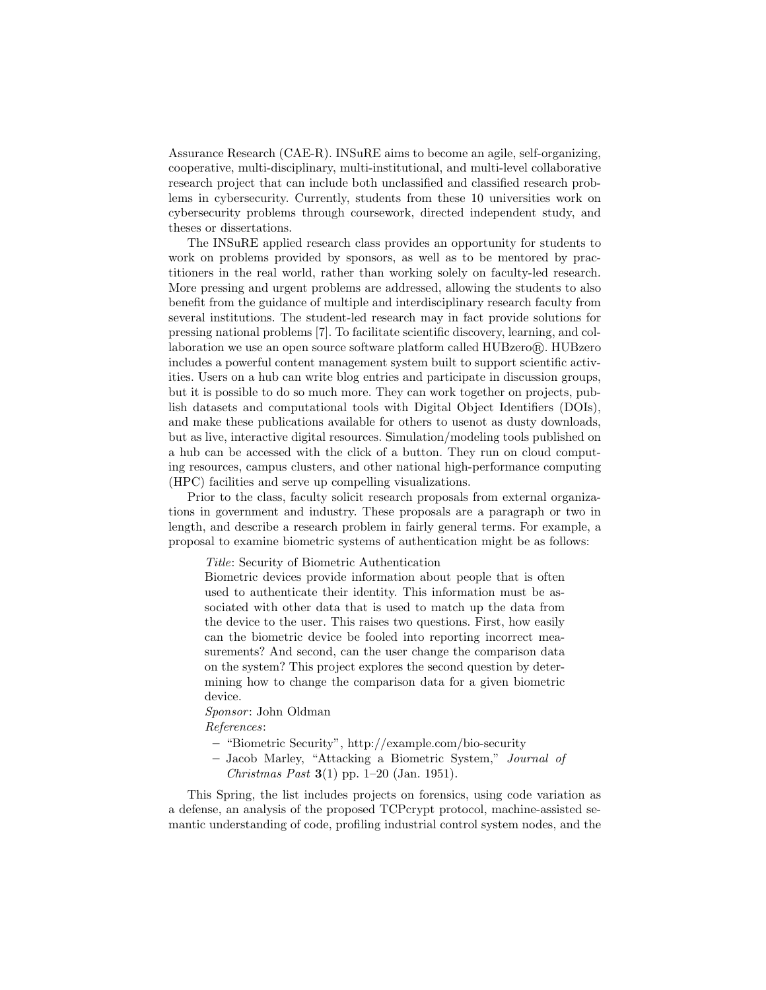Assurance Research (CAE-R). INSuRE aims to become an agile, self-organizing, cooperative, multi-disciplinary, multi-institutional, and multi-level collaborative research project that can include both unclassified and classified research problems in cybersecurity. Currently, students from these 10 universities work on cybersecurity problems through coursework, directed independent study, and theses or dissertations.

The INSuRE applied research class provides an opportunity for students to work on problems provided by sponsors, as well as to be mentored by practitioners in the real world, rather than working solely on faculty-led research. More pressing and urgent problems are addressed, allowing the students to also benefit from the guidance of multiple and interdisciplinary research faculty from several institutions. The student-led research may in fact provide solutions for pressing national problems [7]. To facilitate scientific discovery, learning, and collaboration we use an open source software platform called HUBzero <sup>R</sup> . HUBzero includes a powerful content management system built to support scientific activities. Users on a hub can write blog entries and participate in discussion groups, but it is possible to do so much more. They can work together on projects, publish datasets and computational tools with Digital Object Identifiers (DOIs), and make these publications available for others to usenot as dusty downloads, but as live, interactive digital resources. Simulation/modeling tools published on a hub can be accessed with the click of a button. They run on cloud computing resources, campus clusters, and other national high-performance computing (HPC) facilities and serve up compelling visualizations.

Prior to the class, faculty solicit research proposals from external organizations in government and industry. These proposals are a paragraph or two in length, and describe a research problem in fairly general terms. For example, a proposal to examine biometric systems of authentication might be as follows:

Title: Security of Biometric Authentication

Biometric devices provide information about people that is often used to authenticate their identity. This information must be associated with other data that is used to match up the data from the device to the user. This raises two questions. First, how easily can the biometric device be fooled into reporting incorrect measurements? And second, can the user change the comparison data on the system? This project explores the second question by determining how to change the comparison data for a given biometric device.

Sponsor: John Oldman References:

- "Biometric Security", http://example.com/bio-security
- Jacob Marley, "Attacking a Biometric System," Journal of *Christmas Past*  $3(1)$  pp. 1–20 (Jan. 1951).

This Spring, the list includes projects on forensics, using code variation as a defense, an analysis of the proposed TCPcrypt protocol, machine-assisted semantic understanding of code, profiling industrial control system nodes, and the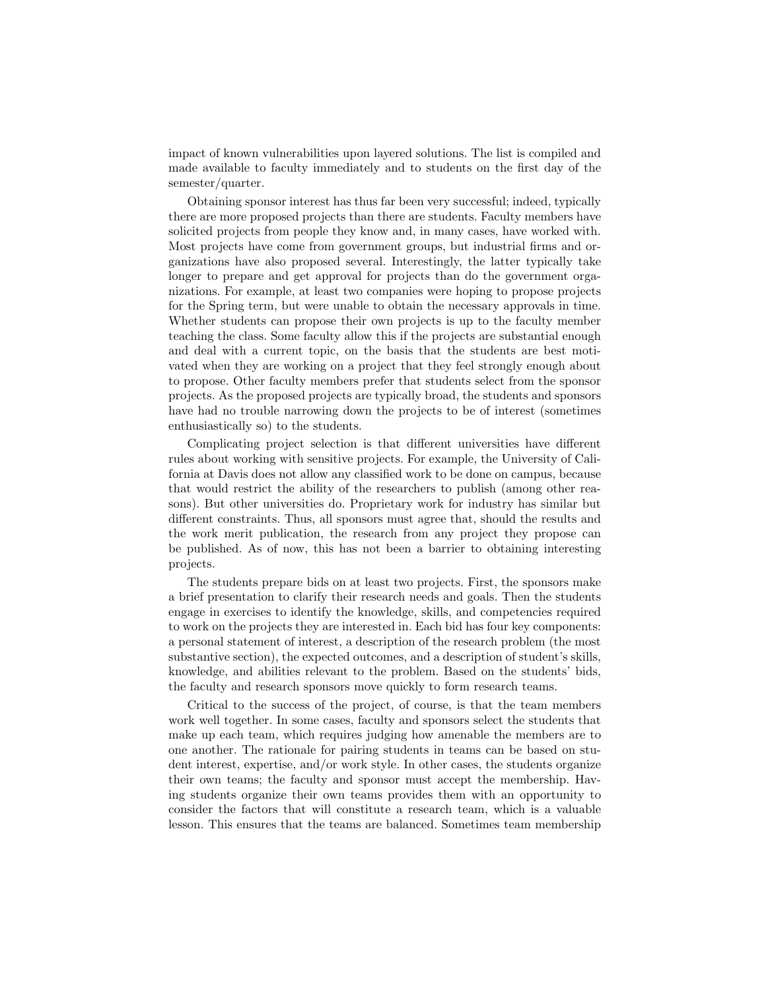impact of known vulnerabilities upon layered solutions. The list is compiled and made available to faculty immediately and to students on the first day of the semester/quarter.

Obtaining sponsor interest has thus far been very successful; indeed, typically there are more proposed projects than there are students. Faculty members have solicited projects from people they know and, in many cases, have worked with. Most projects have come from government groups, but industrial firms and organizations have also proposed several. Interestingly, the latter typically take longer to prepare and get approval for projects than do the government organizations. For example, at least two companies were hoping to propose projects for the Spring term, but were unable to obtain the necessary approvals in time. Whether students can propose their own projects is up to the faculty member teaching the class. Some faculty allow this if the projects are substantial enough and deal with a current topic, on the basis that the students are best motivated when they are working on a project that they feel strongly enough about to propose. Other faculty members prefer that students select from the sponsor projects. As the proposed projects are typically broad, the students and sponsors have had no trouble narrowing down the projects to be of interest (sometimes enthusiastically so) to the students.

Complicating project selection is that different universities have different rules about working with sensitive projects. For example, the University of California at Davis does not allow any classified work to be done on campus, because that would restrict the ability of the researchers to publish (among other reasons). But other universities do. Proprietary work for industry has similar but different constraints. Thus, all sponsors must agree that, should the results and the work merit publication, the research from any project they propose can be published. As of now, this has not been a barrier to obtaining interesting projects.

The students prepare bids on at least two projects. First, the sponsors make a brief presentation to clarify their research needs and goals. Then the students engage in exercises to identify the knowledge, skills, and competencies required to work on the projects they are interested in. Each bid has four key components: a personal statement of interest, a description of the research problem (the most substantive section), the expected outcomes, and a description of student's skills, knowledge, and abilities relevant to the problem. Based on the students' bids, the faculty and research sponsors move quickly to form research teams.

Critical to the success of the project, of course, is that the team members work well together. In some cases, faculty and sponsors select the students that make up each team, which requires judging how amenable the members are to one another. The rationale for pairing students in teams can be based on student interest, expertise, and/or work style. In other cases, the students organize their own teams; the faculty and sponsor must accept the membership. Having students organize their own teams provides them with an opportunity to consider the factors that will constitute a research team, which is a valuable lesson. This ensures that the teams are balanced. Sometimes team membership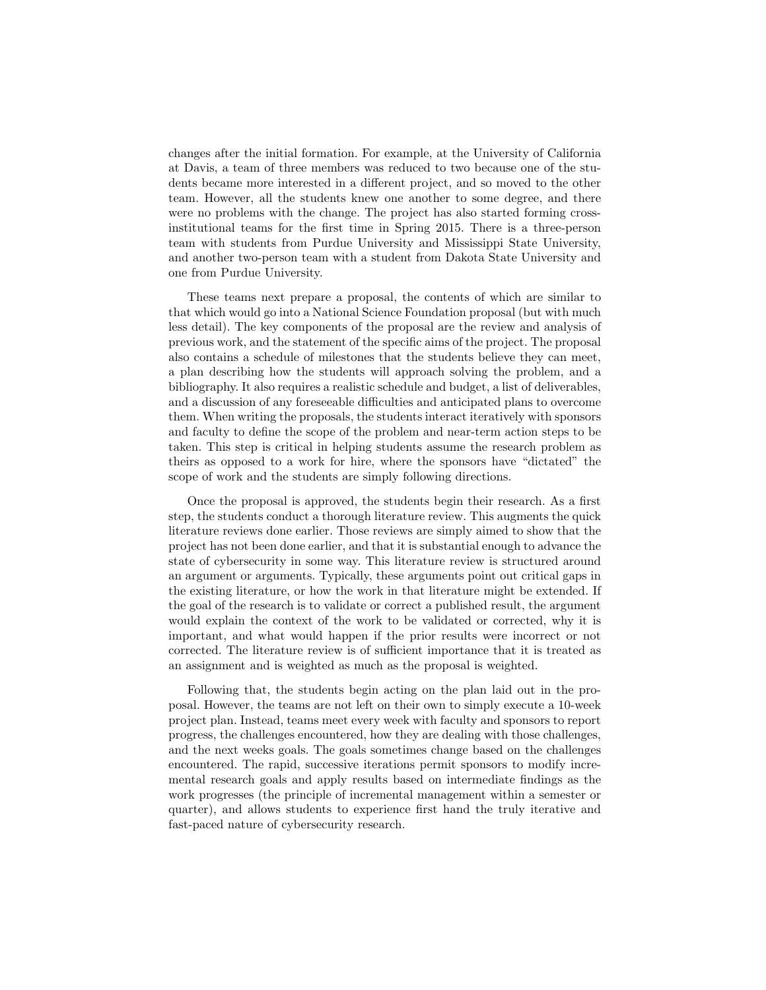changes after the initial formation. For example, at the University of California at Davis, a team of three members was reduced to two because one of the students became more interested in a different project, and so moved to the other team. However, all the students knew one another to some degree, and there were no problems with the change. The project has also started forming crossinstitutional teams for the first time in Spring 2015. There is a three-person team with students from Purdue University and Mississippi State University, and another two-person team with a student from Dakota State University and one from Purdue University.

These teams next prepare a proposal, the contents of which are similar to that which would go into a National Science Foundation proposal (but with much less detail). The key components of the proposal are the review and analysis of previous work, and the statement of the specific aims of the project. The proposal also contains a schedule of milestones that the students believe they can meet, a plan describing how the students will approach solving the problem, and a bibliography. It also requires a realistic schedule and budget, a list of deliverables, and a discussion of any foreseeable difficulties and anticipated plans to overcome them. When writing the proposals, the students interact iteratively with sponsors and faculty to define the scope of the problem and near-term action steps to be taken. This step is critical in helping students assume the research problem as theirs as opposed to a work for hire, where the sponsors have "dictated" the scope of work and the students are simply following directions.

Once the proposal is approved, the students begin their research. As a first step, the students conduct a thorough literature review. This augments the quick literature reviews done earlier. Those reviews are simply aimed to show that the project has not been done earlier, and that it is substantial enough to advance the state of cybersecurity in some way. This literature review is structured around an argument or arguments. Typically, these arguments point out critical gaps in the existing literature, or how the work in that literature might be extended. If the goal of the research is to validate or correct a published result, the argument would explain the context of the work to be validated or corrected, why it is important, and what would happen if the prior results were incorrect or not corrected. The literature review is of sufficient importance that it is treated as an assignment and is weighted as much as the proposal is weighted.

Following that, the students begin acting on the plan laid out in the proposal. However, the teams are not left on their own to simply execute a 10-week project plan. Instead, teams meet every week with faculty and sponsors to report progress, the challenges encountered, how they are dealing with those challenges, and the next weeks goals. The goals sometimes change based on the challenges encountered. The rapid, successive iterations permit sponsors to modify incremental research goals and apply results based on intermediate findings as the work progresses (the principle of incremental management within a semester or quarter), and allows students to experience first hand the truly iterative and fast-paced nature of cybersecurity research.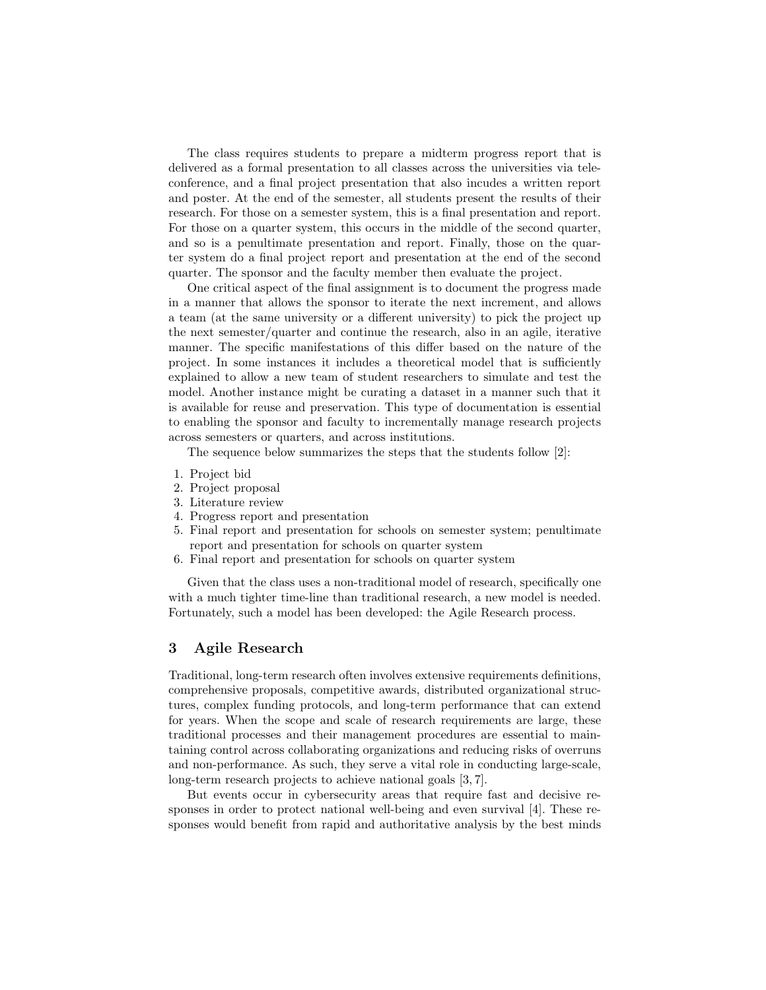The class requires students to prepare a midterm progress report that is delivered as a formal presentation to all classes across the universities via teleconference, and a final project presentation that also incudes a written report and poster. At the end of the semester, all students present the results of their research. For those on a semester system, this is a final presentation and report. For those on a quarter system, this occurs in the middle of the second quarter, and so is a penultimate presentation and report. Finally, those on the quarter system do a final project report and presentation at the end of the second quarter. The sponsor and the faculty member then evaluate the project.

One critical aspect of the final assignment is to document the progress made in a manner that allows the sponsor to iterate the next increment, and allows a team (at the same university or a different university) to pick the project up the next semester/quarter and continue the research, also in an agile, iterative manner. The specific manifestations of this differ based on the nature of the project. In some instances it includes a theoretical model that is sufficiently explained to allow a new team of student researchers to simulate and test the model. Another instance might be curating a dataset in a manner such that it is available for reuse and preservation. This type of documentation is essential to enabling the sponsor and faculty to incrementally manage research projects across semesters or quarters, and across institutions.

The sequence below summarizes the steps that the students follow [2]:

- 1. Project bid
- 2. Project proposal
- 3. Literature review
- 4. Progress report and presentation
- 5. Final report and presentation for schools on semester system; penultimate report and presentation for schools on quarter system
- 6. Final report and presentation for schools on quarter system

Given that the class uses a non-traditional model of research, specifically one with a much tighter time-line than traditional research, a new model is needed. Fortunately, such a model has been developed: the Agile Research process.

#### 3 Agile Research

Traditional, long-term research often involves extensive requirements definitions, comprehensive proposals, competitive awards, distributed organizational structures, complex funding protocols, and long-term performance that can extend for years. When the scope and scale of research requirements are large, these traditional processes and their management procedures are essential to maintaining control across collaborating organizations and reducing risks of overruns and non-performance. As such, they serve a vital role in conducting large-scale, long-term research projects to achieve national goals [3, 7].

But events occur in cybersecurity areas that require fast and decisive responses in order to protect national well-being and even survival [4]. These responses would benefit from rapid and authoritative analysis by the best minds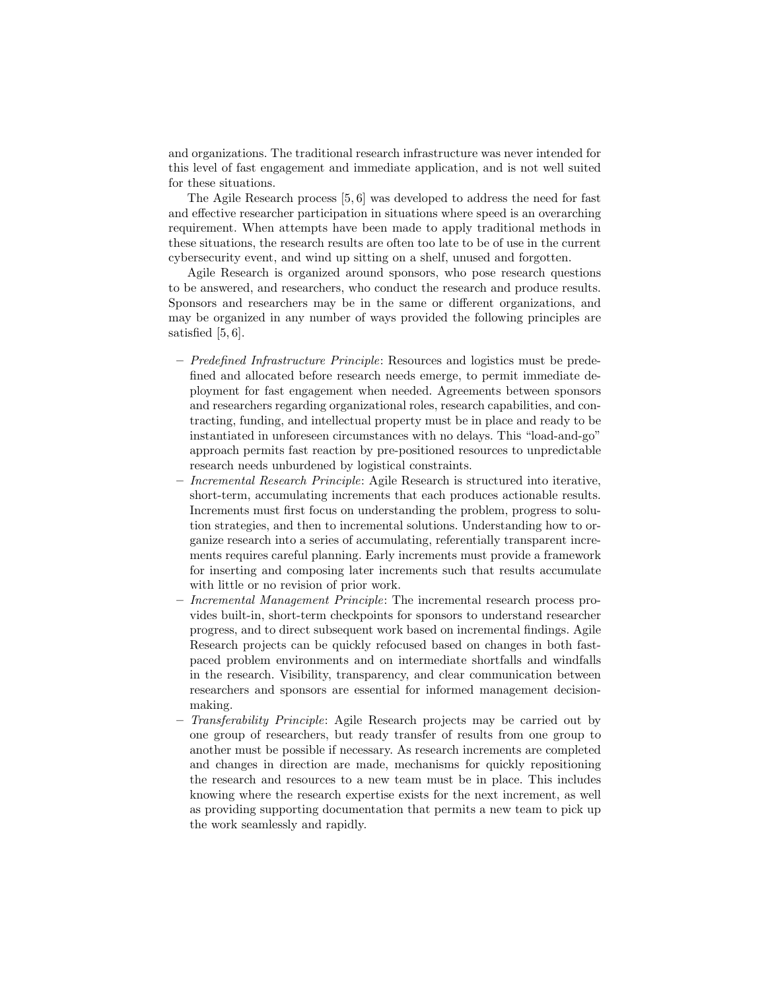and organizations. The traditional research infrastructure was never intended for this level of fast engagement and immediate application, and is not well suited for these situations.

The Agile Research process [5, 6] was developed to address the need for fast and effective researcher participation in situations where speed is an overarching requirement. When attempts have been made to apply traditional methods in these situations, the research results are often too late to be of use in the current cybersecurity event, and wind up sitting on a shelf, unused and forgotten.

Agile Research is organized around sponsors, who pose research questions to be answered, and researchers, who conduct the research and produce results. Sponsors and researchers may be in the same or different organizations, and may be organized in any number of ways provided the following principles are satisfied [5, 6].

- Predefined Infrastructure Principle: Resources and logistics must be predefined and allocated before research needs emerge, to permit immediate deployment for fast engagement when needed. Agreements between sponsors and researchers regarding organizational roles, research capabilities, and contracting, funding, and intellectual property must be in place and ready to be instantiated in unforeseen circumstances with no delays. This "load-and-go" approach permits fast reaction by pre-positioned resources to unpredictable research needs unburdened by logistical constraints.
- Incremental Research Principle: Agile Research is structured into iterative, short-term, accumulating increments that each produces actionable results. Increments must first focus on understanding the problem, progress to solution strategies, and then to incremental solutions. Understanding how to organize research into a series of accumulating, referentially transparent increments requires careful planning. Early increments must provide a framework for inserting and composing later increments such that results accumulate with little or no revision of prior work.
- Incremental Management Principle: The incremental research process provides built-in, short-term checkpoints for sponsors to understand researcher progress, and to direct subsequent work based on incremental findings. Agile Research projects can be quickly refocused based on changes in both fastpaced problem environments and on intermediate shortfalls and windfalls in the research. Visibility, transparency, and clear communication between researchers and sponsors are essential for informed management decisionmaking.
- Transferability Principle: Agile Research projects may be carried out by one group of researchers, but ready transfer of results from one group to another must be possible if necessary. As research increments are completed and changes in direction are made, mechanisms for quickly repositioning the research and resources to a new team must be in place. This includes knowing where the research expertise exists for the next increment, as well as providing supporting documentation that permits a new team to pick up the work seamlessly and rapidly.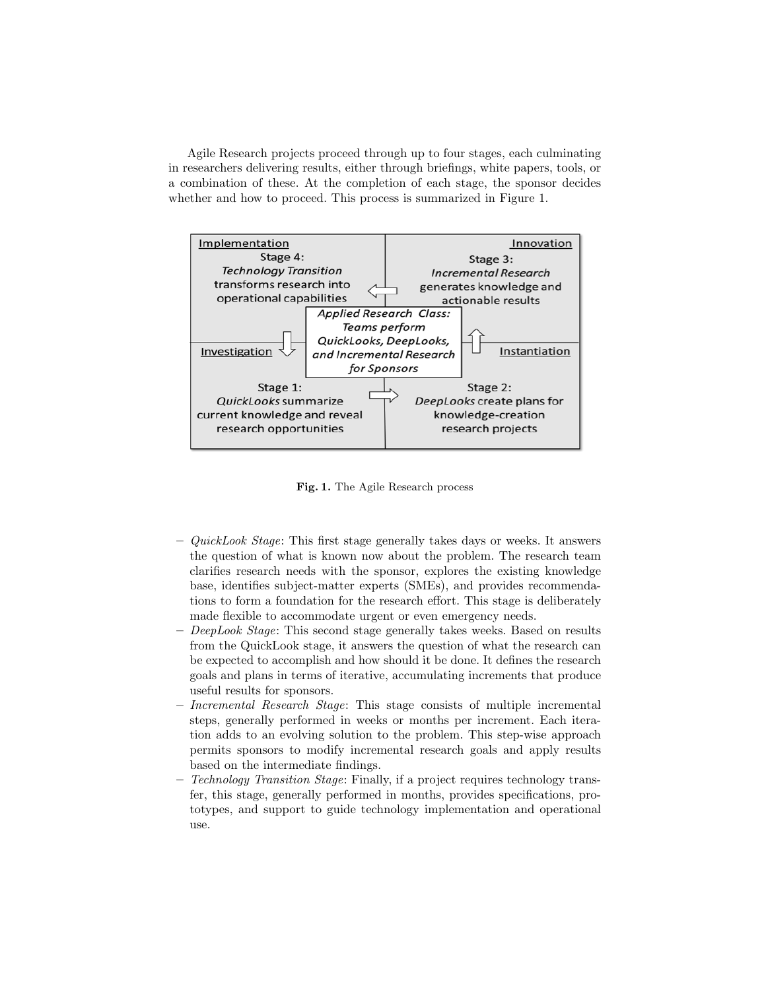Agile Research projects proceed through up to four stages, each culminating in researchers delivering results, either through briefings, white papers, tools, or a combination of these. At the completion of each stage, the sponsor decides whether and how to proceed. This process is summarized in Figure 1.



Fig. 1. The Agile Research process

- $-$  QuickLook Stage: This first stage generally takes days or weeks. It answers the question of what is known now about the problem. The research team clarifies research needs with the sponsor, explores the existing knowledge base, identifies subject-matter experts (SMEs), and provides recommendations to form a foundation for the research effort. This stage is deliberately made flexible to accommodate urgent or even emergency needs.
- $-$  DeepLook Stage: This second stage generally takes weeks. Based on results from the QuickLook stage, it answers the question of what the research can be expected to accomplish and how should it be done. It defines the research goals and plans in terms of iterative, accumulating increments that produce useful results for sponsors.
- Incremental Research Stage: This stage consists of multiple incremental steps, generally performed in weeks or months per increment. Each iteration adds to an evolving solution to the problem. This step-wise approach permits sponsors to modify incremental research goals and apply results based on the intermediate findings.
- Technology Transition Stage: Finally, if a project requires technology transfer, this stage, generally performed in months, provides specifications, prototypes, and support to guide technology implementation and operational use.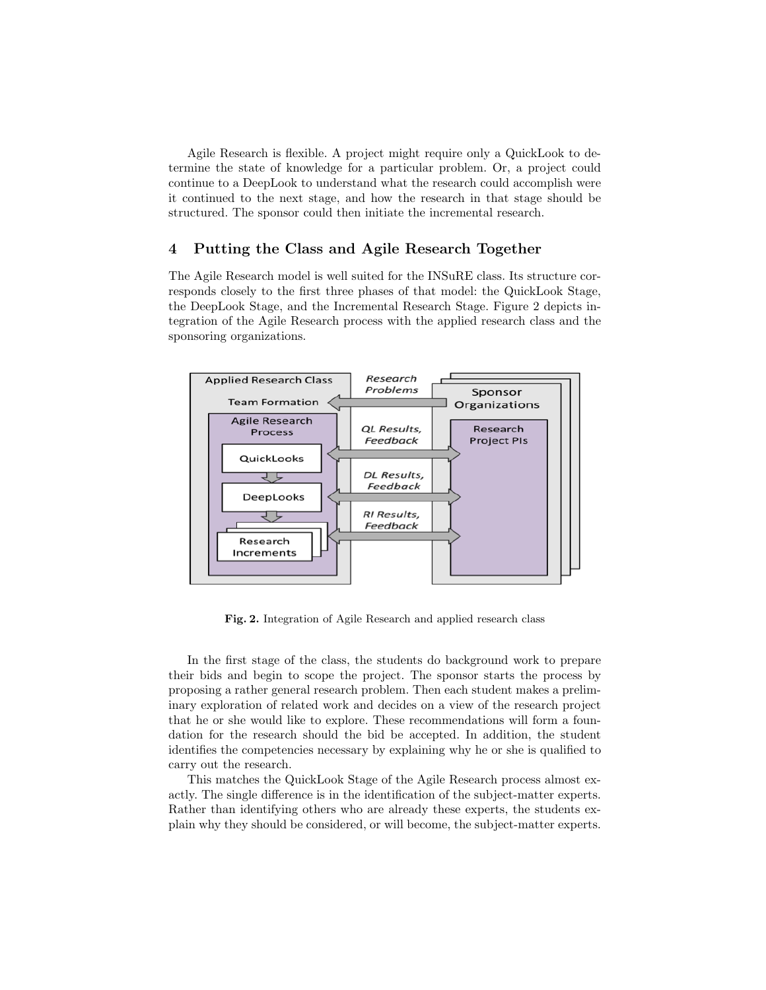Agile Research is flexible. A project might require only a QuickLook to determine the state of knowledge for a particular problem. Or, a project could continue to a DeepLook to understand what the research could accomplish were it continued to the next stage, and how the research in that stage should be structured. The sponsor could then initiate the incremental research.

#### 4 Putting the Class and Agile Research Together

The Agile Research model is well suited for the INSuRE class. Its structure corresponds closely to the first three phases of that model: the QuickLook Stage, the DeepLook Stage, and the Incremental Research Stage. Figure 2 depicts integration of the Agile Research process with the applied research class and the sponsoring organizations.



Fig. 2. Integration of Agile Research and applied research class

In the first stage of the class, the students do background work to prepare their bids and begin to scope the project. The sponsor starts the process by proposing a rather general research problem. Then each student makes a preliminary exploration of related work and decides on a view of the research project that he or she would like to explore. These recommendations will form a foundation for the research should the bid be accepted. In addition, the student identifies the competencies necessary by explaining why he or she is qualified to carry out the research.

This matches the QuickLook Stage of the Agile Research process almost exactly. The single difference is in the identification of the subject-matter experts. Rather than identifying others who are already these experts, the students explain why they should be considered, or will become, the subject-matter experts.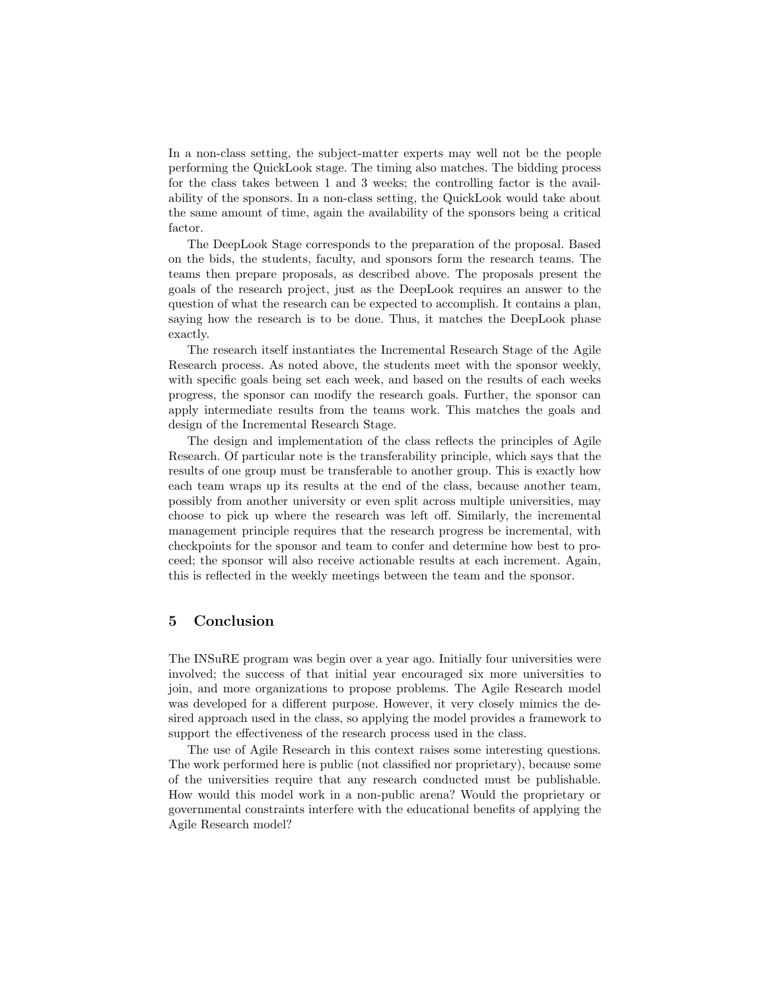In a non-class setting, the subject-matter experts may well not be the people performing the QuickLook stage. The timing also matches. The bidding process for the class takes between 1 and 3 weeks; the controlling factor is the availability of the sponsors. In a non-class setting, the QuickLook would take about the same amount of time, again the availability of the sponsors being a critical factor.

The DeepLook Stage corresponds to the preparation of the proposal. Based on the bids, the students, faculty, and sponsors form the research teams. The teams then prepare proposals, as described above. The proposals present the goals of the research project, just as the DeepLook requires an answer to the question of what the research can be expected to accomplish. It contains a plan, saying how the research is to be done. Thus, it matches the DeepLook phase exactly.

The research itself instantiates the Incremental Research Stage of the Agile Research process. As noted above, the students meet with the sponsor weekly, with specific goals being set each week, and based on the results of each weeks progress, the sponsor can modify the research goals. Further, the sponsor can apply intermediate results from the teams work. This matches the goals and design of the Incremental Research Stage.

The design and implementation of the class reflects the principles of Agile Research. Of particular note is the transferability principle, which says that the results of one group must be transferable to another group. This is exactly how each team wraps up its results at the end of the class, because another team, possibly from another university or even split across multiple universities, may choose to pick up where the research was left off. Similarly, the incremental management principle requires that the research progress be incremental, with checkpoints for the sponsor and team to confer and determine how best to proceed; the sponsor will also receive actionable results at each increment. Again, this is reflected in the weekly meetings between the team and the sponsor.

#### 5 Conclusion

The INSuRE program was begin over a year ago. Initially four universities were involved; the success of that initial year encouraged six more universities to join, and more organizations to propose problems. The Agile Research model was developed for a different purpose. However, it very closely mimics the desired approach used in the class, so applying the model provides a framework to support the effectiveness of the research process used in the class.

The use of Agile Research in this context raises some interesting questions. The work performed here is public (not classified nor proprietary), because some of the universities require that any research conducted must be publishable. How would this model work in a non-public arena? Would the proprietary or governmental constraints interfere with the educational benefits of applying the Agile Research model?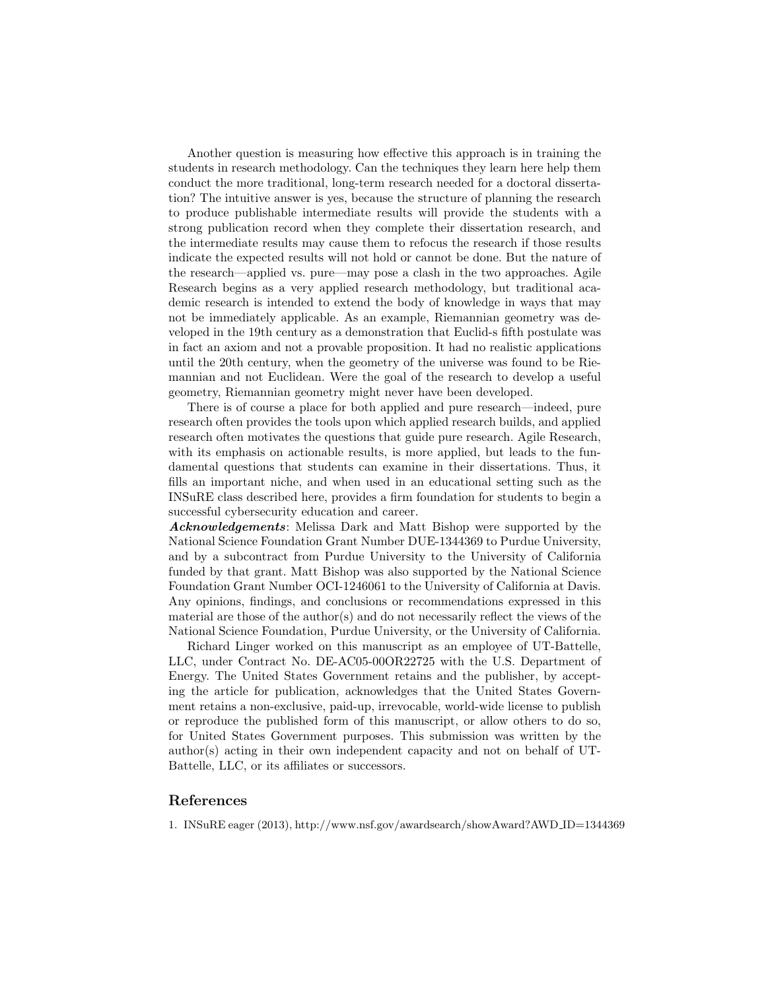Another question is measuring how effective this approach is in training the students in research methodology. Can the techniques they learn here help them conduct the more traditional, long-term research needed for a doctoral dissertation? The intuitive answer is yes, because the structure of planning the research to produce publishable intermediate results will provide the students with a strong publication record when they complete their dissertation research, and the intermediate results may cause them to refocus the research if those results indicate the expected results will not hold or cannot be done. But the nature of the research—applied vs. pure—may pose a clash in the two approaches. Agile Research begins as a very applied research methodology, but traditional academic research is intended to extend the body of knowledge in ways that may not be immediately applicable. As an example, Riemannian geometry was developed in the 19th century as a demonstration that Euclid-s fifth postulate was in fact an axiom and not a provable proposition. It had no realistic applications until the 20th century, when the geometry of the universe was found to be Riemannian and not Euclidean. Were the goal of the research to develop a useful geometry, Riemannian geometry might never have been developed.

There is of course a place for both applied and pure research—indeed, pure research often provides the tools upon which applied research builds, and applied research often motivates the questions that guide pure research. Agile Research, with its emphasis on actionable results, is more applied, but leads to the fundamental questions that students can examine in their dissertations. Thus, it fills an important niche, and when used in an educational setting such as the INSuRE class described here, provides a firm foundation for students to begin a successful cybersecurity education and career.

Acknowledgements: Melissa Dark and Matt Bishop were supported by the National Science Foundation Grant Number DUE-1344369 to Purdue University, and by a subcontract from Purdue University to the University of California funded by that grant. Matt Bishop was also supported by the National Science Foundation Grant Number OCI-1246061 to the University of California at Davis. Any opinions, findings, and conclusions or recommendations expressed in this material are those of the author(s) and do not necessarily reflect the views of the National Science Foundation, Purdue University, or the University of California.

Richard Linger worked on this manuscript as an employee of UT-Battelle, LLC, under Contract No. DE-AC05-00OR22725 with the U.S. Department of Energy. The United States Government retains and the publisher, by accepting the article for publication, acknowledges that the United States Government retains a non-exclusive, paid-up, irrevocable, world-wide license to publish or reproduce the published form of this manuscript, or allow others to do so, for United States Government purposes. This submission was written by the author(s) acting in their own independent capacity and not on behalf of UT-Battelle, LLC, or its affiliates or successors.

### References

1. INSuRE eager (2013), http://www.nsf.gov/awardsearch/showAward?AWD ID=1344369